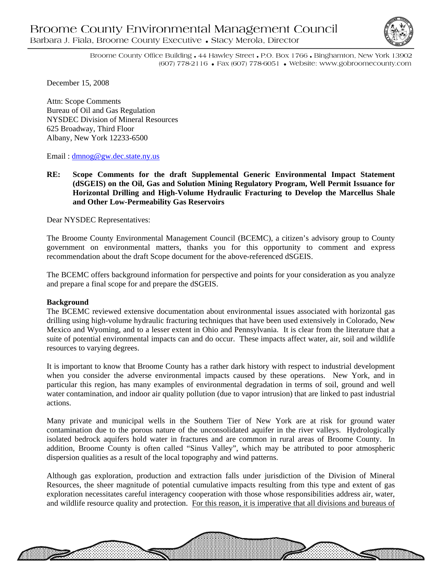

Broome County Office Building • 44 Hawley Street • P.O. Box 1766 • Binghamton, New York 13902 (607) 778-2116 • Fax (607) 778-6051 • Website: www.gobroomecounty.com

December 15, 2008

Attn: Scope Comments Bureau of Oil and Gas Regulation NYSDEC Division of Mineral Resources 625 Broadway, Third Floor Albany, New York 12233-6500

Email : dmnog@gw.dec.state.ny.us

**RE: Scope Comments for the draft Supplemental Generic Environmental Impact Statement (dSGEIS) on the Oil, Gas and Solution Mining Regulatory Program, Well Permit Issuance for Horizontal Drilling and High-Volume Hydraulic Fracturing to Develop the Marcellus Shale and Other Low-Permeability Gas Reservoirs** 

Dear NYSDEC Representatives:

The Broome County Environmental Management Council (BCEMC), a citizen's advisory group to County government on environmental matters, thanks you for this opportunity to comment and express recommendation about the draft Scope document for the above-referenced dSGEIS.

The BCEMC offers background information for perspective and points for your consideration as you analyze and prepare a final scope for and prepare the dSGEIS.

#### **Background**

The BCEMC reviewed extensive documentation about environmental issues associated with horizontal gas drilling using high-volume hydraulic fracturing techniques that have been used extensively in Colorado, New Mexico and Wyoming, and to a lesser extent in Ohio and Pennsylvania. It is clear from the literature that a suite of potential environmental impacts can and do occur. These impacts affect water, air, soil and wildlife resources to varying degrees.

It is important to know that Broome County has a rather dark history with respect to industrial development when you consider the adverse environmental impacts caused by these operations. New York, and in particular this region, has many examples of environmental degradation in terms of soil, ground and well water contamination, and indoor air quality pollution (due to vapor intrusion) that are linked to past industrial actions.

Many private and municipal wells in the Southern Tier of New York are at risk for ground water contamination due to the porous nature of the unconsolidated aquifer in the river valleys. Hydrologically isolated bedrock aquifers hold water in fractures and are common in rural areas of Broome County. In addition, Broome County is often called "Sinus Valley", which may be attributed to poor atmospheric dispersion qualities as a result of the local topography and wind patterns.

Although gas exploration, production and extraction falls under jurisdiction of the Division of Mineral Resources, the sheer magnitude of potential cumulative impacts resulting from this type and extent of gas exploration necessitates careful interagency cooperation with those whose responsibilities address air, water, and wildlife resource quality and protection. For this reason, it is imperative that all divisions and bureaus of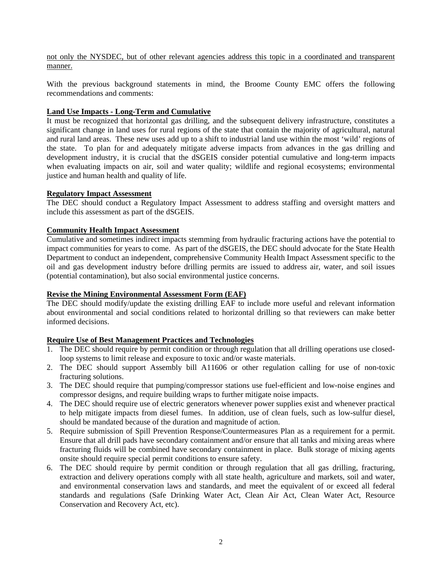not only the NYSDEC, but of other relevant agencies address this topic in a coordinated and transparent manner.

With the previous background statements in mind, the Broome County EMC offers the following recommendations and comments:

### **Land Use Impacts - Long-Term and Cumulative**

It must be recognized that horizontal gas drilling, and the subsequent delivery infrastructure, constitutes a significant change in land uses for rural regions of the state that contain the majority of agricultural, natural and rural land areas. These new uses add up to a shift to industrial land use within the most 'wild' regions of the state. To plan for and adequately mitigate adverse impacts from advances in the gas drilling and development industry, it is crucial that the dSGEIS consider potential cumulative and long-term impacts when evaluating impacts on air, soil and water quality; wildlife and regional ecosystems; environmental justice and human health and quality of life.

#### **Regulatory Impact Assessment**

The DEC should conduct a Regulatory Impact Assessment to address staffing and oversight matters and include this assessment as part of the dSGEIS.

### **Community Health Impact Assessment**

Cumulative and sometimes indirect impacts stemming from hydraulic fracturing actions have the potential to impact communities for years to come. As part of the dSGEIS, the DEC should advocate for the State Health Department to conduct an independent, comprehensive Community Health Impact Assessment specific to the oil and gas development industry before drilling permits are issued to address air, water, and soil issues (potential contamination), but also social environmental justice concerns.

### **Revise the Mining Environmental Assessment Form (EAF)**

The DEC should modify/update the existing drilling EAF to include more useful and relevant information about environmental and social conditions related to horizontal drilling so that reviewers can make better informed decisions.

### **Require Use of Best Management Practices and Technologies**

- 1. The DEC should require by permit condition or through regulation that all drilling operations use closedloop systems to limit release and exposure to toxic and/or waste materials.
- 2. The DEC should support Assembly bill A11606 or other regulation calling for use of non-toxic fracturing solutions.
- 3. The DEC should require that pumping/compressor stations use fuel-efficient and low-noise engines and compressor designs, and require building wraps to further mitigate noise impacts.
- 4. The DEC should require use of electric generators whenever power supplies exist and whenever practical to help mitigate impacts from diesel fumes. In addition, use of clean fuels, such as low-sulfur diesel, should be mandated because of the duration and magnitude of action.
- 5. Require submission of Spill Prevention Response/Countermeasures Plan as a requirement for a permit. Ensure that all drill pads have secondary containment and/or ensure that all tanks and mixing areas where fracturing fluids will be combined have secondary containment in place. Bulk storage of mixing agents onsite should require special permit conditions to ensure safety.
- 6. The DEC should require by permit condition or through regulation that all gas drilling, fracturing, extraction and delivery operations comply with all state health, agriculture and markets, soil and water, and environmental conservation laws and standards, and meet the equivalent of or exceed all federal standards and regulations (Safe Drinking Water Act, Clean Air Act, Clean Water Act, Resource Conservation and Recovery Act, etc).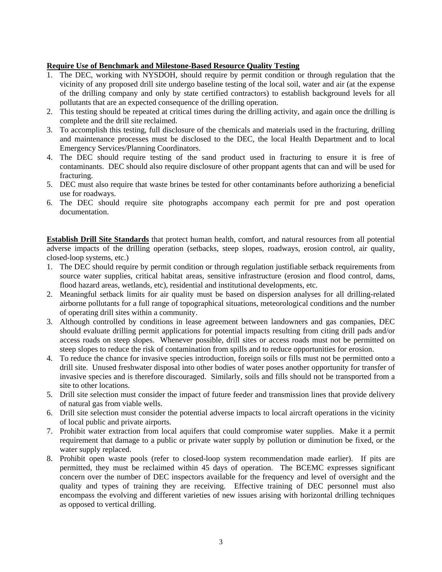## **Require Use of Benchmark and Milestone-Based Resource Quality Testing**

- 1. The DEC, working with NYSDOH, should require by permit condition or through regulation that the vicinity of any proposed drill site undergo baseline testing of the local soil, water and air (at the expense of the drilling company and only by state certified contractors) to establish background levels for all pollutants that are an expected consequence of the drilling operation.
- 2. This testing should be repeated at critical times during the drilling activity, and again once the drilling is complete and the drill site reclaimed.
- 3. To accomplish this testing, full disclosure of the chemicals and materials used in the fracturing, drilling and maintenance processes must be disclosed to the DEC, the local Health Department and to local Emergency Services/Planning Coordinators.
- 4. The DEC should require testing of the sand product used in fracturing to ensure it is free of contaminants. DEC should also require disclosure of other proppant agents that can and will be used for fracturing.
- 5. DEC must also require that waste brines be tested for other contaminants before authorizing a beneficial use for roadways.
- 6. The DEC should require site photographs accompany each permit for pre and post operation documentation.

**Establish Drill Site Standards** that protect human health, comfort, and natural resources from all potential adverse impacts of the drilling operation (setbacks, steep slopes, roadways, erosion control, air quality, closed-loop systems, etc.)

- 1. The DEC should require by permit condition or through regulation justifiable setback requirements from source water supplies, critical habitat areas, sensitive infrastructure (erosion and flood control, dams, flood hazard areas, wetlands, etc), residential and institutional developments, etc.
- 2. Meaningful setback limits for air quality must be based on dispersion analyses for all drilling-related airborne pollutants for a full range of topographical situations, meteorological conditions and the number of operating drill sites within a community.
- 3. Although controlled by conditions in lease agreement between landowners and gas companies, DEC should evaluate drilling permit applications for potential impacts resulting from citing drill pads and/or access roads on steep slopes. Whenever possible, drill sites or access roads must not be permitted on steep slopes to reduce the risk of contamination from spills and to reduce opportunities for erosion.
- 4. To reduce the chance for invasive species introduction, foreign soils or fills must not be permitted onto a drill site. Unused freshwater disposal into other bodies of water poses another opportunity for transfer of invasive species and is therefore discouraged. Similarly, soils and fills should not be transported from a site to other locations.
- 5. Drill site selection must consider the impact of future feeder and transmission lines that provide delivery of natural gas from viable wells.
- 6. Drill site selection must consider the potential adverse impacts to local aircraft operations in the vicinity of local public and private airports.
- 7. Prohibit water extraction from local aquifers that could compromise water supplies. Make it a permit requirement that damage to a public or private water supply by pollution or diminution be fixed, or the water supply replaced.
- 8. Prohibit open waste pools (refer to closed-loop system recommendation made earlier). If pits are permitted, they must be reclaimed within 45 days of operation. The BCEMC expresses significant concern over the number of DEC inspectors available for the frequency and level of oversight and the quality and types of training they are receiving. Effective training of DEC personnel must also encompass the evolving and different varieties of new issues arising with horizontal drilling techniques as opposed to vertical drilling.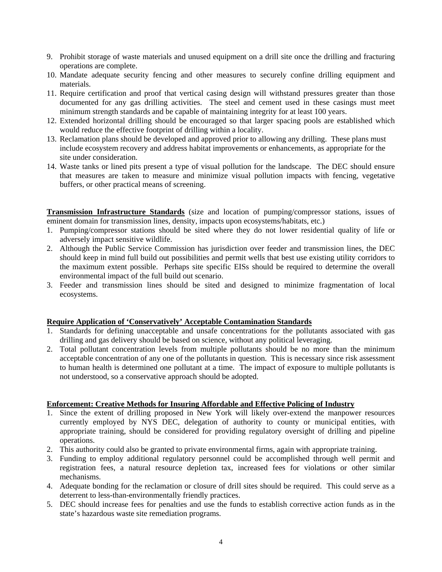- 9. Prohibit storage of waste materials and unused equipment on a drill site once the drilling and fracturing operations are complete.
- 10. Mandate adequate security fencing and other measures to securely confine drilling equipment and materials.
- 11. Require certification and proof that vertical casing design will withstand pressures greater than those documented for any gas drilling activities. The steel and cement used in these casings must meet minimum strength standards and be capable of maintaining integrity for at least 100 years.
- 12. Extended horizontal drilling should be encouraged so that larger spacing pools are established which would reduce the effective footprint of drilling within a locality.
- 13. Reclamation plans should be developed and approved prior to allowing any drilling. These plans must include ecosystem recovery and address habitat improvements or enhancements, as appropriate for the site under consideration.
- 14. Waste tanks or lined pits present a type of visual pollution for the landscape. The DEC should ensure that measures are taken to measure and minimize visual pollution impacts with fencing, vegetative buffers, or other practical means of screening.

**Transmission Infrastructure Standards** (size and location of pumping/compressor stations, issues of eminent domain for transmission lines, density, impacts upon ecosystems/habitats, etc.)

- 1. Pumping/compressor stations should be sited where they do not lower residential quality of life or adversely impact sensitive wildlife.
- 2. Although the Public Service Commission has jurisdiction over feeder and transmission lines, the DEC should keep in mind full build out possibilities and permit wells that best use existing utility corridors to the maximum extent possible. Perhaps site specific EISs should be required to determine the overall environmental impact of the full build out scenario.
- 3. Feeder and transmission lines should be sited and designed to minimize fragmentation of local ecosystems.

# **Require Application of 'Conservatively' Acceptable Contamination Standards**

- 1. Standards for defining unacceptable and unsafe concentrations for the pollutants associated with gas drilling and gas delivery should be based on science, without any political leveraging.
- 2. Total pollutant concentration levels from multiple pollutants should be no more than the minimum acceptable concentration of any one of the pollutants in question. This is necessary since risk assessment to human health is determined one pollutant at a time. The impact of exposure to multiple pollutants is not understood, so a conservative approach should be adopted.

### **Enforcement: Creative Methods for Insuring Affordable and Effective Policing of Industry**

- 1. Since the extent of drilling proposed in New York will likely over-extend the manpower resources currently employed by NYS DEC, delegation of authority to county or municipal entities, with appropriate training, should be considered for providing regulatory oversight of drilling and pipeline operations.
- 2. This authority could also be granted to private environmental firms, again with appropriate training.
- 3. Funding to employ additional regulatory personnel could be accomplished through well permit and registration fees, a natural resource depletion tax, increased fees for violations or other similar mechanisms.
- 4. Adequate bonding for the reclamation or closure of drill sites should be required. This could serve as a deterrent to less-than-environmentally friendly practices.
- 5. DEC should increase fees for penalties and use the funds to establish corrective action funds as in the state's hazardous waste site remediation programs.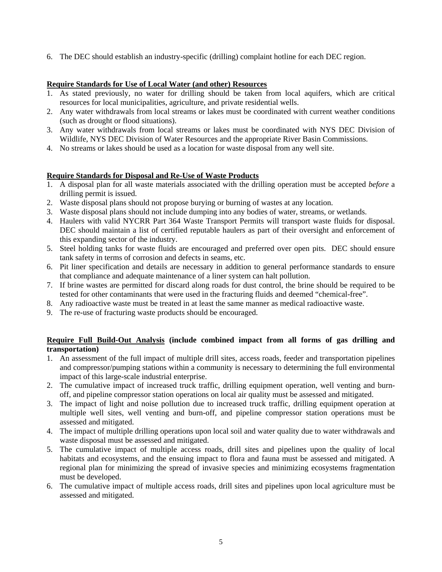6. The DEC should establish an industry-specific (drilling) complaint hotline for each DEC region.

# **Require Standards for Use of Local Water (and other) Resources**

- 1. As stated previously, no water for drilling should be taken from local aquifers, which are critical resources for local municipalities, agriculture, and private residential wells.
- 2. Any water withdrawals from local streams or lakes must be coordinated with current weather conditions (such as drought or flood situations).
- 3. Any water withdrawals from local streams or lakes must be coordinated with NYS DEC Division of Wildlife, NYS DEC Division of Water Resources and the appropriate River Basin Commissions.
- 4. No streams or lakes should be used as a location for waste disposal from any well site.

## **Require Standards for Disposal and Re-Use of Waste Products**

- 1. A disposal plan for all waste materials associated with the drilling operation must be accepted *before* a drilling permit is issued.
- 2. Waste disposal plans should not propose burying or burning of wastes at any location.
- 3. Waste disposal plans should not include dumping into any bodies of water, streams, or wetlands.
- 4. Haulers with valid NYCRR Part 364 Waste Transport Permits will transport waste fluids for disposal. DEC should maintain a list of certified reputable haulers as part of their oversight and enforcement of this expanding sector of the industry.
- 5. Steel holding tanks for waste fluids are encouraged and preferred over open pits. DEC should ensure tank safety in terms of corrosion and defects in seams, etc.
- 6. Pit liner specification and details are necessary in addition to general performance standards to ensure that compliance and adequate maintenance of a liner system can halt pollution.
- 7. If brine wastes are permitted for discard along roads for dust control, the brine should be required to be tested for other contaminants that were used in the fracturing fluids and deemed "chemical-free".
- 8. Any radioactive waste must be treated in at least the same manner as medical radioactive waste.
- 9. The re-use of fracturing waste products should be encouraged.

# **Require Full Build-Out Analysis (include combined impact from all forms of gas drilling and transportation)**

- 1. An assessment of the full impact of multiple drill sites, access roads, feeder and transportation pipelines and compressor/pumping stations within a community is necessary to determining the full environmental impact of this large-scale industrial enterprise.
- 2. The cumulative impact of increased truck traffic, drilling equipment operation, well venting and burnoff, and pipeline compressor station operations on local air quality must be assessed and mitigated.
- 3. The impact of light and noise pollution due to increased truck traffic, drilling equipment operation at multiple well sites, well venting and burn-off, and pipeline compressor station operations must be assessed and mitigated.
- 4. The impact of multiple drilling operations upon local soil and water quality due to water withdrawals and waste disposal must be assessed and mitigated.
- 5. The cumulative impact of multiple access roads, drill sites and pipelines upon the quality of local habitats and ecosystems, and the ensuing impact to flora and fauna must be assessed and mitigated. A regional plan for minimizing the spread of invasive species and minimizing ecosystems fragmentation must be developed.
- 6. The cumulative impact of multiple access roads, drill sites and pipelines upon local agriculture must be assessed and mitigated.